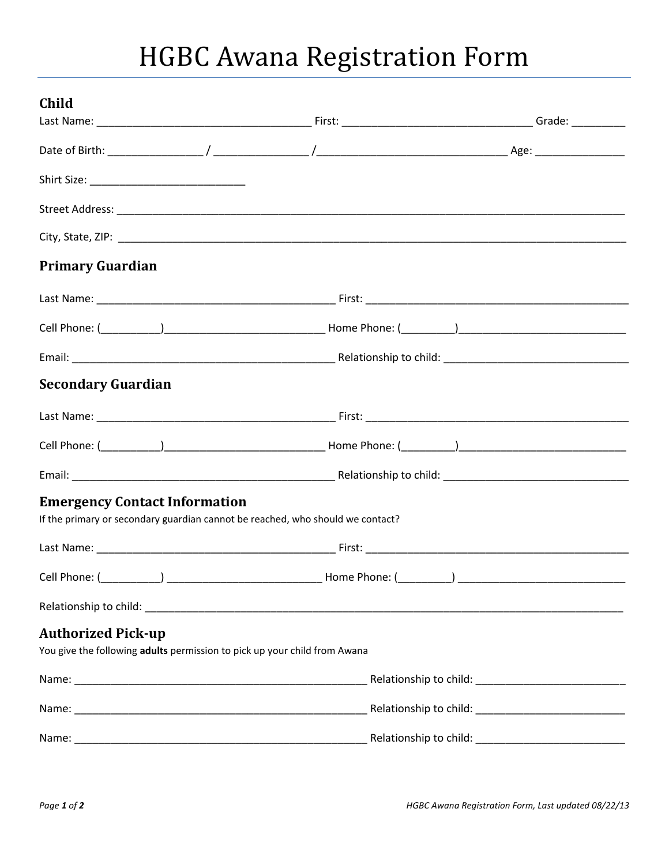# HGBC Awana Registration Form

| Child                                                                                                                  |  |  |  |
|------------------------------------------------------------------------------------------------------------------------|--|--|--|
|                                                                                                                        |  |  |  |
|                                                                                                                        |  |  |  |
| Shirt Size: _____________________________                                                                              |  |  |  |
|                                                                                                                        |  |  |  |
|                                                                                                                        |  |  |  |
| <b>Primary Guardian</b>                                                                                                |  |  |  |
|                                                                                                                        |  |  |  |
|                                                                                                                        |  |  |  |
|                                                                                                                        |  |  |  |
| <b>Secondary Guardian</b>                                                                                              |  |  |  |
|                                                                                                                        |  |  |  |
|                                                                                                                        |  |  |  |
|                                                                                                                        |  |  |  |
| <b>Emergency Contact Information</b><br>If the primary or secondary guardian cannot be reached, who should we contact? |  |  |  |
|                                                                                                                        |  |  |  |
|                                                                                                                        |  |  |  |
|                                                                                                                        |  |  |  |
| <b>Authorized Pick-up</b>                                                                                              |  |  |  |
| You give the following adults permission to pick up your child from Awana                                              |  |  |  |
|                                                                                                                        |  |  |  |
|                                                                                                                        |  |  |  |
|                                                                                                                        |  |  |  |